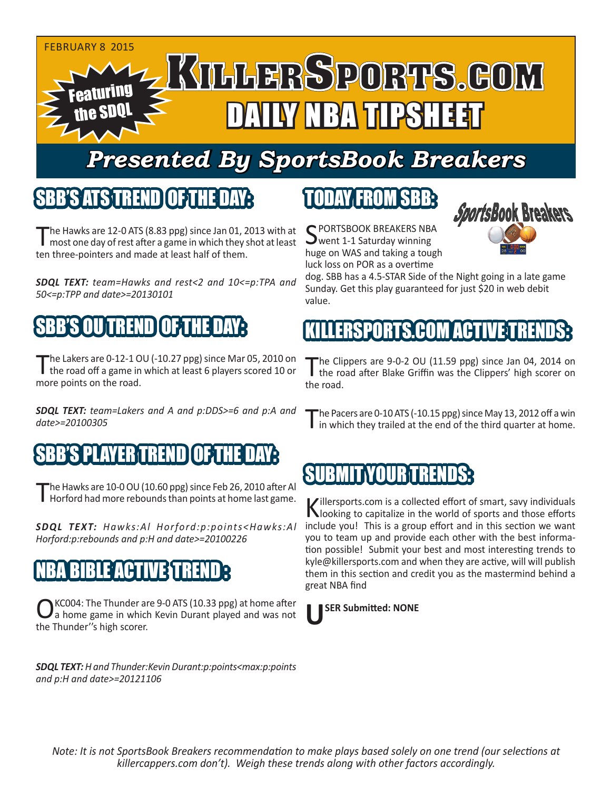

## *Presented By SportsBook Breakers*

#### SBB'S ATSTREN

The Hawks are 12-0 ATS (8.83 ppg) since Jan 01, 2013 with at most one day of rest after a game in which they shot at least ten three-pointers and made at least half of them.

*SDQL TEXT: team=Hawks and rest<2 and 10<=p:TPA and 50<=p:TPP and date>=20130101*

### SBB'S OU TREND OF THE DAY:

The Lakers are 0-12-1 OU (-10.27 ppg) since Mar 05, 2010 on<br>The road off a game in which at least 6 players scored 10 or more points on the road.

*SDQL TEXT: team=Lakers and A and p:DDS>=6 and p:A and date>=20100305*

#### SEPLAYER TREN

The Hawks are 10-0 OU (10.60 ppg) since Feb 26, 2010 after Al<br>Horford had more rebounds than points at home last game.

*SDQL TEXT: Hawks:Al Horford:p:points<Hawks:Al Horford:p:rebounds and p:H and date>=20100226*

#### NBA CITIN

KC004: The Thunder are 9-0 ATS (10.33 ppg) at home after a home game in which Kevin Durant played and was not the Thunder''s high scorer.

*SDQL TEXT: H and Thunder:Kevin Durant:p:points<max:p:points and p:H and date>=20121106*

#### TODAY FROM SBB:

C PORTSBOOK BREAKERS NBA **J** went 1-1 Saturday winning huge on WAS and taking a tough luck loss on POR as a overtime



dog. SBB has a 4.5-STAR Side of the Night going in a late game Sunday. Get this play guaranteed for just \$20 in web debit value.

#### KILLERSPORTS.COM ACTIVE T

The Clippers are 9-0-2 OU (11.59 ppg) since Jan 04, 2014 on<br>the road after Blake Griffin was the Clippers' high scorer on the road.

The Pacers are 0-10 ATS (-10.15 ppg) since May 13, 2012 off a win I in which they trailed at the end of the third quarter at home.

#### SUBMIT YOUR TRENDS:

Killersports.com is a collected effort of smart, savy individuals<br>Nooking to capitalize in the world of sports and those efforts include you! This is a group effort and in this section we want you to team up and provide each other with the best information possible! Submit your best and most interesting trends to kyle@killersports.com and when they are active, will will publish them in this section and credit you as the mastermind behind a great NBA find

#### **USER Submitted: NONE**

*Note: It is not SportsBook Breakers recommendation to make plays based solely on one trend (our selections at killercappers.com don't). Weigh these trends along with other factors accordingly.*